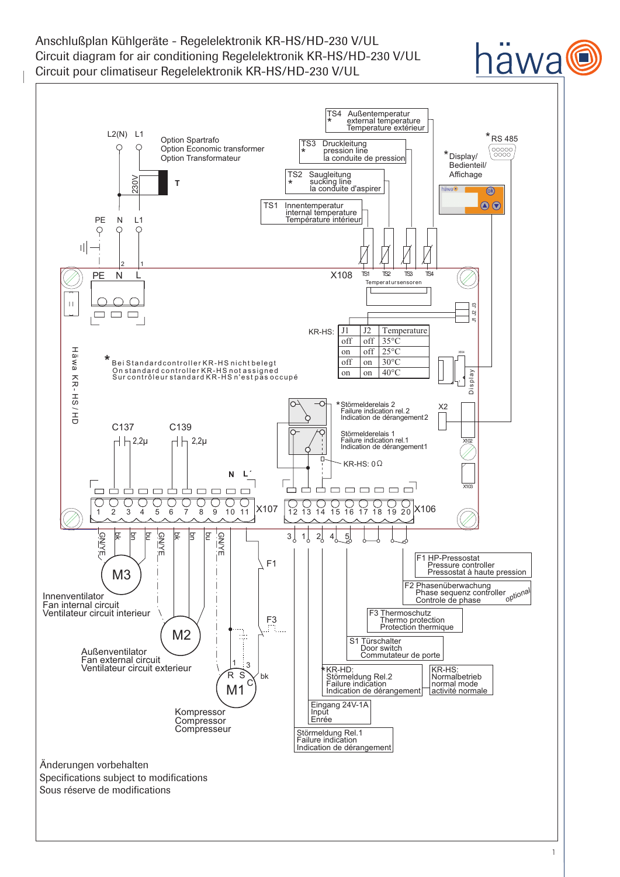Anschlußplan Kühlgeräte - Regelelektronik KR-HS/HD-230 V/UL Circuit diagram for air conditioning Regelelektronik KR-HS/HD-230 V/UL Circuit pour climatiseur Regelelektronik KR-HS/HD-230 V/UL

#### TS4 Außentemperatur<br>\* external temperature<br><u>Temperature extérieur</u> \* L2(N) L1  $*$ RS 485 Option Spartrafo TS3 Druckleitung pression line la conduite de pression Option Economic transformer 00000<br>0000 \* Option Transformateur Display/ \* Bedienteil/ Affichage TS2 Saugleitung<br> **\*** sucking line<br>
la conduite d'aspirer 230V **T** \*  $\circledR$  $\bigcirc$ TS1 Innentemperatur internal temperature PE N L1 Température intérieur  $\varphi$ C ⌒ Ш 2 1  $TST$   $TST$ TS4 X108 L <sup>N</sup> PE TS1 Temper at ursensoren J3  $\Box$   $\Box$  <br>  $\Box$ Ë J2 5 J1 J2 Temperature KR-HS: off off  $35^{\circ}$ C<br>on off  $25^{\circ}$ C on off  $25^{\circ}$ C Häwa X104 **\*** Bei Standardcontroller KR-HS nicht belegt off on  $30^{\circ}$ C an la v a<br>K On standard controller KR-HS not assigned<br>Sur contrôleur standard KR-HS n'est pas occupé on on  $40^{\circ}$ C Display ス<br>アー K R- HS / HD Störmelderelais 2 \* X2 H D Failure indication rel.2 Indication de dérangement2 C137 C139 Störmelderelais 1 Failure indication rel.1 Indication de dérangement1 $\overline{a}$   $\overline{b}$   $\overline{c}$   $\overline{c}$   $\overline{c}$   $\overline{c}$   $\overline{c}$   $\overline{c}$   $\overline{c}$   $\overline{c}$   $\overline{c}$   $\overline{c}$   $\overline{c}$   $\overline{c}$   $\overline{c}$   $\overline{c}$   $\overline{c}$   $\overline{c}$   $\overline{c}$   $\overline{c}$   $\overline{c}$   $\overline{c}$   $\overline{c}$   $\overline{c}$   $\overline{$ X102 KR-HS:  $0\Omega$ **N L´**  $\Box$  $\Box$  $\Box$  $\Box$ X103  $\Box$  $\Box$  $\Box$  $\Box$  $\Box$  $\Box$  $\Box$  $\Box$ X107 | 12 13 14 15 16 17 18 19 20 X106 1 2 3 4 5 6 7 8 9 10 11 12 13 14 1 5 16 17 18 19 20 **GN/YE GN/YE** bn GN/YE 몾 g g 몾 g  $3\begin{pmatrix} 1 & 2 \\ 2 & 2 \end{pmatrix}$  $4\begin{array}{c} 5 \end{array}$ F1 HP-Pressostat Pressure controller F1 Pressostat à haute pression M3 F2 Phasenüberwachung Phase sequenz controller Controle de phase *optional* Innenventilator Fan internal circuit Ventilateur circuit interieur F3 Thermoschutz Thermo protection Protection thermique F3 M2 ÷ S1 Türschalter Door switch Commutateur de porte Außenventilator Fan external circuit 1 ંવ Ventilateur circuit exterieur KR-HD: \* KR-HS: R S bk Normalbetrieb Störmeldung Rel.2 Failure indication  $\epsilon$ normal mode M1 Indication de dérangement activité normale Eingang 24V-1A Kompressor Input<br><u>Enrée</u> **Compressor Compresseur** Störmeldung Rel.1 Failure indication Indication de dérangement Änderungen vorbehalten Specifications subject to modifications Sous réserve de modifications

awa